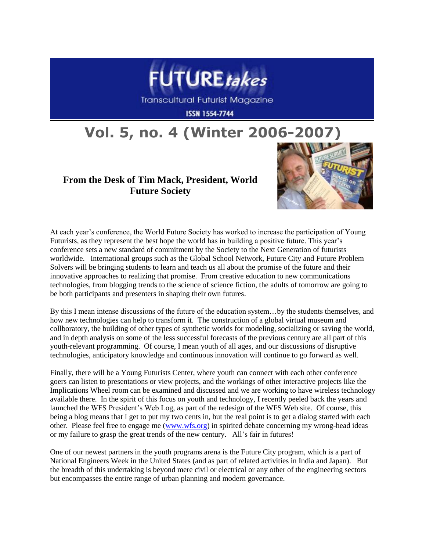

**Transcultural Futurist Magazine** 

**ISSN 1554-7744** 

## **Vol. 5, no. 4 (Winter 2006-2007)**

## **From the Desk of Tim Mack, President, World Future Society**



At each year's conference, the World Future Society has worked to increase the participation of Young Futurists, as they represent the best hope the world has in building a positive future. This year's conference sets a new standard of commitment by the Society to the Next Generation of futurists worldwide. International groups such as the Global School Network, Future City and Future Problem Solvers will be bringing students to learn and teach us all about the promise of the future and their innovative approaches to realizing that promise. From creative education to new communications technologies, from blogging trends to the science of science fiction, the adults of tomorrow are going to be both participants and presenters in shaping their own futures.

By this I mean intense discussions of the future of the education system…by the students themselves, and how new technologies can help to transform it. The construction of a global virtual museum and collboratory, the building of other types of synthetic worlds for modeling, socializing or saving the world, and in depth analysis on some of the less successful forecasts of the previous century are all part of this youth-relevant programming. Of course, I mean youth of all ages, and our discussions of disruptive technologies, anticipatory knowledge and continuous innovation will continue to go forward as well.

Finally, there will be a Young Futurists Center, where youth can connect with each other conference goers can listen to presentations or view projects, and the workings of other interactive projects like the Implications Wheel room can be examined and discussed and we are working to have wireless technology available there. In the spirit of this focus on youth and technology, I recently peeled back the years and launched the WFS President's Web Log, as part of the redesign of the WFS Web site. Of course, this being a blog means that I get to put my two cents in, but the real point is to get a dialog started with each other. Please feel free to engage me [\(www.wfs.org\)](http://www.wfs.org/) in spirited debate concerning my wrong-head ideas or my failure to grasp the great trends of the new century. All's fair in futures!

One of our newest partners in the youth programs arena is the Future City program, which is a part of National Engineers Week in the United States (and as part of related activities in India and Japan). But the breadth of this undertaking is beyond mere civil or electrical or any other of the engineering sectors but encompasses the entire range of urban planning and modern governance.